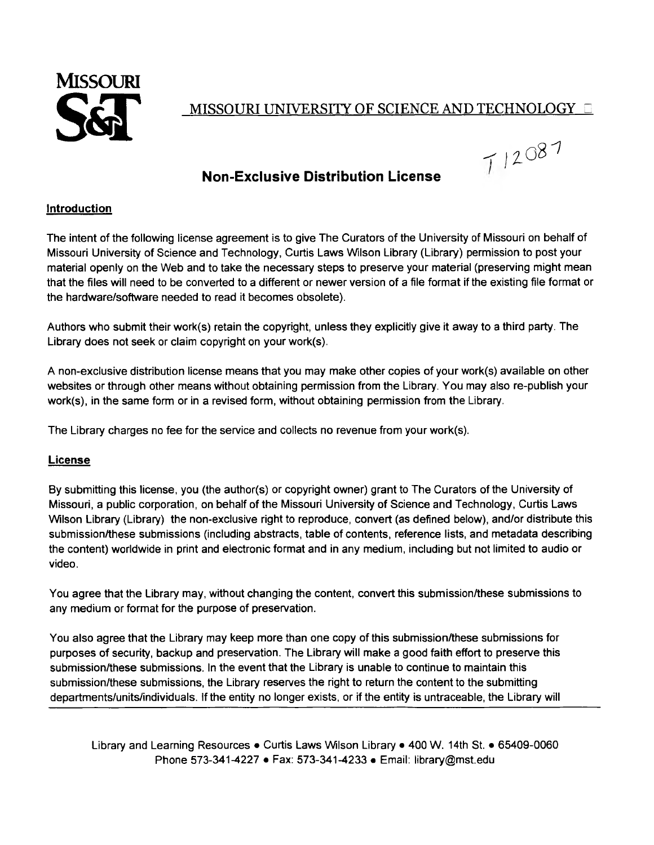

 $712087$ 

## **Non-Exclusive Distribution License**

## **Introduction**

The intent of the following license agreement is to give The Curators of the University of Missouri on behalf of Missouri University of Science and Technology, Curtis Laws Wilson Library (Library) permission to post your material openly on the Web and to take the necessary steps to preserve your material (preserving might mean that the files will need to be converted to a different or newer version of a file format if the existing file format or the hardware/software needed to read it becomes obsolete).

Authors who submit their work(s) retain the copyright, unless they explicitly give it away to a third party. The Library does not seek or claim copyright on your work(s).

A non-exclusive distribution license means that you may make other copies of your work(s) available on other websites or through other means without obtaining permission from the Library. You may also re-publish your work(s), in the same form or in a revised form, without obtaining permission from the Library.

The Library charges no fee for the service and collects no revenue from your work(s).

## **License**

By submitting this license, you (the author(s) or copyright owner) grant to The Curators of the University of Missouri, a public corporation, on behalf of the Missouri University of Science and Technology, Curtis Laws Wilson Library (Library) the non-exclusive right to reproduce, convert (as defined below), and/or distribute this submission/these submissions (including abstracts, table of contents, reference lists, and metadata describing the content) worldwide in print and electronic format and in any medium, including but not limited to audio or video.

You agree that the Library may, without changing the content, convert this submission/these submissions to any medium or format for the purpose of preservation.

You also agree that the Library may keep more than one copy of this submission/these submissions for purposes of security, backup and preservation. The Library will make a good faith effort to preserve this submission/these submissions. In the event that the Library is unable to continue to maintain this submission/these submissions, the Library reserves the right to return the content to the submitting departments/units/individuals. If the entity no longer exists, or if the entity is untraceable, the Library will

Library and Learning Resources • Curtis Laws Wilson Library • 400 W. 14th St. • 65409-0060 Phone 573-341-4227 • Fax: 573-341-4233 • Email: [library@mst.edu](mailto:library@mst.edu)